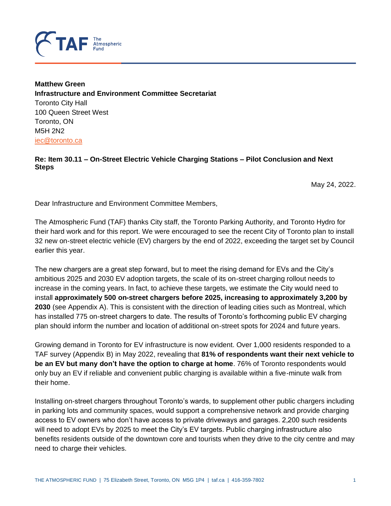

**Matthew Green Infrastructure and Environment Committee Secretariat** Toronto City Hall 100 Queen Street West Toronto, ON M5H 2N2 [iec@toronto.ca](mailto:iec@toronto.ca)

#### **Re: Item 30.11 – On-Street Electric Vehicle Charging Stations – Pilot Conclusion and Next Steps**

May 24, 2022.

Dear Infrastructure and Environment Committee Members,

The Atmospheric Fund (TAF) thanks City staff, the Toronto Parking Authority, and Toronto Hydro for their hard work and for this report. We were encouraged to see the recent City of Toronto plan to install 32 new on-street electric vehicle (EV) chargers by the end of 2022, exceeding the target set by Council earlier this year.

The new chargers are a great step forward, but to meet the rising demand for EVs and the City's ambitious 2025 and 2030 EV adoption targets, the scale of its on-street charging rollout needs to increase in the coming years. In fact, to achieve these targets, we estimate the City would need to install **approximately 500 on-street chargers before 2025, increasing to approximately 3,200 by 2030** (see Appendix A). This is consistent with the direction of leading cities such as Montreal, which has installed 775 on-street chargers to date. The results of Toronto's forthcoming public EV charging plan should inform the number and location of additional on-street spots for 2024 and future years.

Growing demand in Toronto for EV infrastructure is now evident. Over 1,000 residents responded to a TAF survey (Appendix B) in May 2022, revealing that **81% of respondents want their next vehicle to be an EV but many don't have the option to charge at home**. 76% of Toronto respondents would only buy an EV if reliable and convenient public charging is available within a five-minute walk from their home.

Installing on-street chargers throughout Toronto's wards, to supplement other public chargers including in parking lots and community spaces, would support a comprehensive network and provide charging access to EV owners who don't have access to private driveways and garages. 2,200 such residents will need to adopt EVs by 2025 to meet the City's EV targets. Public charging infrastructure also benefits residents outside of the downtown core and tourists when they drive to the city centre and may need to charge their vehicles.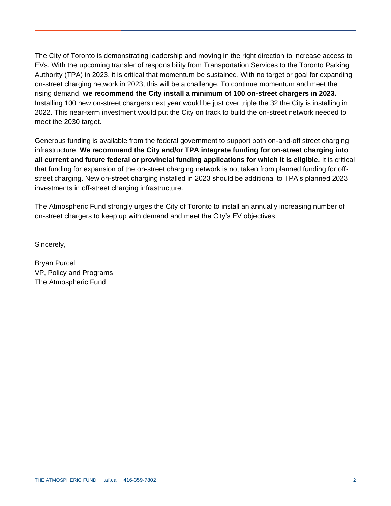The City of Toronto is demonstrating leadership and moving in the right direction to increase access to EVs. With the upcoming transfer of responsibility from Transportation Services to the Toronto Parking Authority (TPA) in 2023, it is critical that momentum be sustained. With no target or goal for expanding on-street charging network in 2023, this will be a challenge. To continue momentum and meet the rising demand, **we recommend the City install a minimum of 100 on-street chargers in 2023.**  Installing 100 new on-street chargers next year would be just over triple the 32 the City is installing in 2022. This near-term investment would put the City on track to build the on-street network needed to meet the 2030 target.

Generous funding is available from the federal government to support both on-and-off street charging infrastructure. **We recommend the City and/or TPA integrate funding for on-street charging into all current and future federal or provincial funding applications for which it is eligible.** It is critical that funding for expansion of the on-street charging network is not taken from planned funding for offstreet charging. New on-street charging installed in 2023 should be additional to TPA's planned 2023 investments in off-street charging infrastructure.

The Atmospheric Fund strongly urges the City of Toronto to install an annually increasing number of on-street chargers to keep up with demand and meet the City's EV objectives.

Sincerely,

Bryan Purcell VP, Policy and Programs The Atmospheric Fund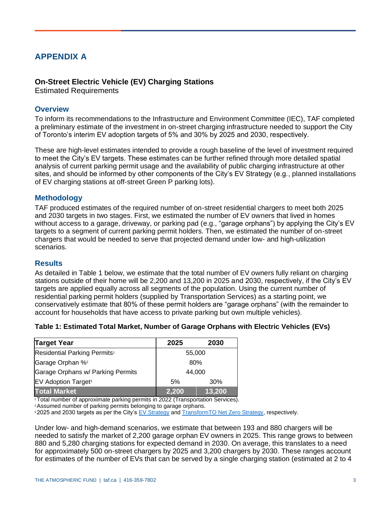# **APPENDIX A**

## **On-Street Electric Vehicle (EV) Charging Stations**

Estimated Requirements

#### **Overview**

To inform its recommendations to the Infrastructure and Environment Committee (IEC), TAF completed a preliminary estimate of the investment in on-street charging infrastructure needed to support the City of Toronto's interim EV adoption targets of 5% and 30% by 2025 and 2030, respectively.

These are high-level estimates intended to provide a rough baseline of the level of investment required to meet the City's EV targets. These estimates can be further refined through more detailed spatial analysis of current parking permit usage and the availability of public charging infrastructure at other sites, and should be informed by other components of the City's EV Strategy (e.g., planned installations of EV charging stations at off-street Green P parking lots).

## **Methodology**

TAF produced estimates of the required number of on-street residential chargers to meet both 2025 and 2030 targets in two stages. First, we estimated the number of EV owners that lived in homes without access to a garage, driveway, or parking pad (e.g., "garage orphans") by applying the City's EV targets to a segment of current parking permit holders. Then, we estimated the number of on-street chargers that would be needed to serve that projected demand under low- and high-utilization scenarios.

## **Results**

As detailed in Table 1 below, we estimate that the total number of EV owners fully reliant on charging stations outside of their home will be 2,200 and 13,200 in 2025 and 2030, respectively, if the City's EV targets are applied equally across all segments of the population. Using the current number of residential parking permit holders (supplied by Transportation Services) as a starting point, we conservatively estimate that 80% of these permit holders are "garage orphans" (with the remainder to account for households that have access to private parking but own multiple vehicles).

| Table 1: Estimated Total Market, Number of Garage Orphans with Electric Vehicles (EVs) |  |  |
|----------------------------------------------------------------------------------------|--|--|
|----------------------------------------------------------------------------------------|--|--|

| <b>Target Year</b>                       | 2025  | 2030   |  |  |
|------------------------------------------|-------|--------|--|--|
| Residential Parking Permits <sup>1</sup> |       | 55,000 |  |  |
| Garage Orphan % <sup>2</sup>             |       | 80%    |  |  |
| Garage Orphans w/ Parking Permits        |       | 44,000 |  |  |
| <b>EV Adoption Target<sup>3</sup></b>    | 5%    | 30%    |  |  |
| <b>Total Market</b>                      | 2,200 | 13,200 |  |  |

<sup>1</sup>Total number of approximate parking permits in 2022 (Transportation Services).

<sup>2</sup>Assumed number of parking permits belonging to garage orphans.

**32025 and 2030 targets as per the City's [EV Strategy](https://www.toronto.ca/wp-content/uploads/2020/02/8c46-City-of-Toronto-Electric-Vehicle-Strategy.pdf) and [TransformTO Net Zero Strategy,](https://www.toronto.ca/legdocs/mmis/2021/ie/bgrd/backgroundfile-173758.pdf) respectively.** 

Under low- and high-demand scenarios, we estimate that between 193 and 880 chargers will be needed to satisfy the market of 2,200 garage orphan EV owners in 2025. This range grows to between 880 and 5,280 charging stations for expected demand in 2030. On average, this translates to a need for approximately 500 on-street chargers by 2025 and 3,200 chargers by 2030. These ranges account for estimates of the number of EVs that can be served by a single charging station (estimated at 2 to 4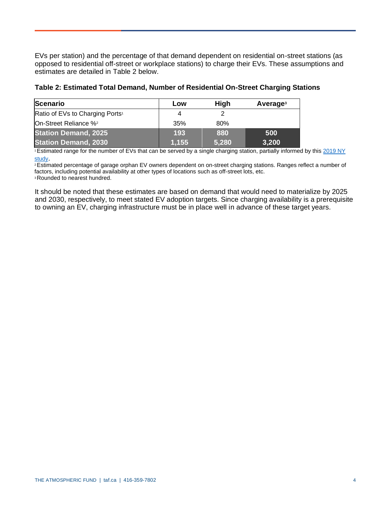EVs per station) and the percentage of that demand dependent on residential on-street stations (as opposed to residential off-street or workplace stations) to charge their EVs. These assumptions and estimates are detailed in Table 2 below.

| <b>Scenario</b>                             | Low   | High  | Average <sup>3</sup> |
|---------------------------------------------|-------|-------|----------------------|
| Ratio of EVs to Charging Ports <sup>1</sup> | 4     |       |                      |
| On-Street Reliance % <sup>2</sup>           | 35%   | 80%   |                      |
| <b>Station Demand, 2025</b>                 | 193   | 880   | 500                  |
| <b>Station Demand, 2030</b>                 | 1,155 | 5,280 | 3,200                |

<sup>1</sup>Estimated range for the number of EVs that can be served by a single charging station, partially informed by this [2019 NY](https://www.dot.ny.gov/divisions/engineering/technical-services/trans-r-and-d-repository/C-17-06_Curb_Enthusiasm_Final_Report.pdf)  [study](https://www.dot.ny.gov/divisions/engineering/technical-services/trans-r-and-d-repository/C-17-06_Curb_Enthusiasm_Final_Report.pdf).

<sup>2</sup>Estimated percentage of garage orphan EV owners dependent on on-street charging stations. Ranges reflect a number of factors, including potential availability at other types of locations such as off-street lots, etc. **3Rounded to nearest hundred.** 

It should be noted that these estimates are based on demand that would need to materialize by 2025 and 2030, respectively, to meet stated EV adoption targets. Since charging availability is a prerequisite to owning an EV, charging infrastructure must be in place well in advance of these target years.